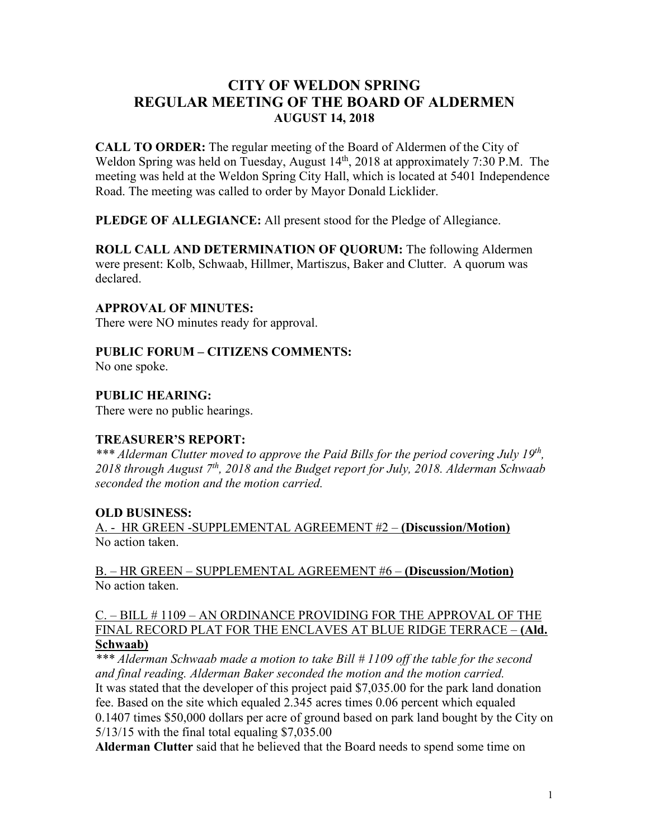# **CITY OF WELDON SPRING REGULAR MEETING OF THE BOARD OF ALDERMEN AUGUST 14, 2018**

**CALL TO ORDER:** The regular meeting of the Board of Aldermen of the City of Weldon Spring was held on Tuesday, August 14<sup>th</sup>, 2018 at approximately 7:30 P.M. The meeting was held at the Weldon Spring City Hall, which is located at 5401 Independence Road. The meeting was called to order by Mayor Donald Licklider.

**PLEDGE OF ALLEGIANCE:** All present stood for the Pledge of Allegiance.

**ROLL CALL AND DETERMINATION OF QUORUM:** The following Aldermen were present: Kolb, Schwaab, Hillmer, Martiszus, Baker and Clutter. A quorum was declared.

#### **APPROVAL OF MINUTES:**

There were NO minutes ready for approval.

### **PUBLIC FORUM – CITIZENS COMMENTS:**

No one spoke.

# **PUBLIC HEARING:**

There were no public hearings.

#### **TREASURER'S REPORT:**

*\*\*\* Alderman Clutter moved to approve the Paid Bills for the period covering July 19th, 2018 through August 7th, 2018 and the Budget report for July, 2018. Alderman Schwaab seconded the motion and the motion carried.*

#### **OLD BUSINESS:**

A. - HR GREEN -SUPPLEMENTAL AGREEMENT #2 – **(Discussion/Motion)** No action taken.

B. – HR GREEN – SUPPLEMENTAL AGREEMENT #6 – **(Discussion/Motion)** No action taken.

### C. – BILL # 1109 – AN ORDINANCE PROVIDING FOR THE APPROVAL OF THE FINAL RECORD PLAT FOR THE ENCLAVES AT BLUE RIDGE TERRACE – **(Ald. Schwaab)**

*\*\*\* Alderman Schwaab made a motion to take Bill # 1109 off the table for the second and final reading. Alderman Baker seconded the motion and the motion carried.* It was stated that the developer of this project paid \$7,035.00 for the park land donation fee. Based on the site which equaled 2.345 acres times 0.06 percent which equaled 0.1407 times \$50,000 dollars per acre of ground based on park land bought by the City on 5/13/15 with the final total equaling \$7,035.00

**Alderman Clutter** said that he believed that the Board needs to spend some time on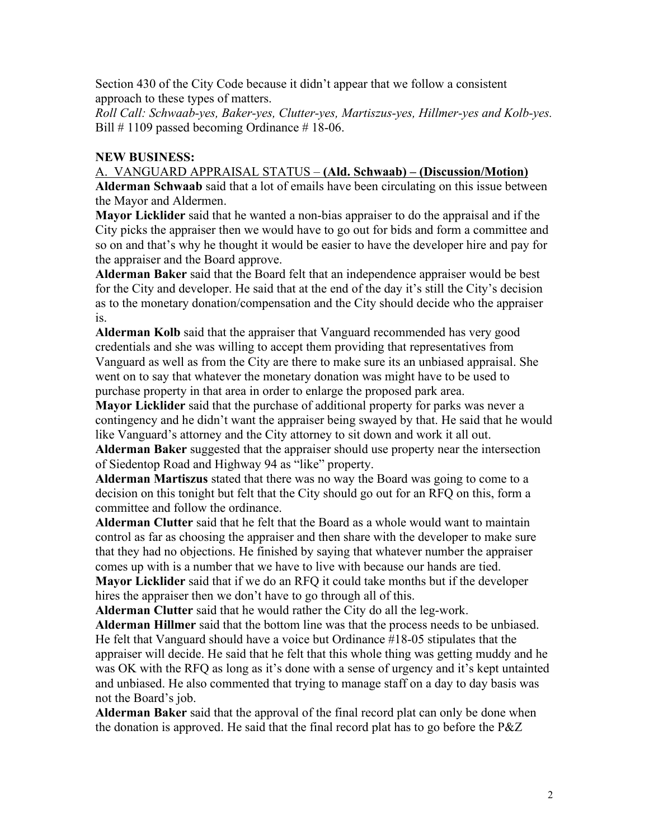Section 430 of the City Code because it didn't appear that we follow a consistent approach to these types of matters.

*Roll Call: Schwaab-yes, Baker-yes, Clutter-yes, Martiszus-yes, Hillmer-yes and Kolb-yes.* Bill  $\#$  1109 passed becoming Ordinance  $\#$  18-06.

# **NEW BUSINESS:**

#### A. VANGUARD APPRAISAL STATUS – **(Ald. Schwaab) – (Discussion/Motion)**

**Alderman Schwaab** said that a lot of emails have been circulating on this issue between the Mayor and Aldermen.

**Mayor Licklider** said that he wanted a non-bias appraiser to do the appraisal and if the City picks the appraiser then we would have to go out for bids and form a committee and so on and that's why he thought it would be easier to have the developer hire and pay for the appraiser and the Board approve.

**Alderman Baker** said that the Board felt that an independence appraiser would be best for the City and developer. He said that at the end of the day it's still the City's decision as to the monetary donation/compensation and the City should decide who the appraiser is.

**Alderman Kolb** said that the appraiser that Vanguard recommended has very good credentials and she was willing to accept them providing that representatives from Vanguard as well as from the City are there to make sure its an unbiased appraisal. She went on to say that whatever the monetary donation was might have to be used to purchase property in that area in order to enlarge the proposed park area.

**Mayor Licklider** said that the purchase of additional property for parks was never a contingency and he didn't want the appraiser being swayed by that. He said that he would like Vanguard's attorney and the City attorney to sit down and work it all out.

**Alderman Baker** suggested that the appraiser should use property near the intersection of Siedentop Road and Highway 94 as "like" property.

**Alderman Martiszus** stated that there was no way the Board was going to come to a decision on this tonight but felt that the City should go out for an RFQ on this, form a committee and follow the ordinance.

**Alderman Clutter** said that he felt that the Board as a whole would want to maintain control as far as choosing the appraiser and then share with the developer to make sure that they had no objections. He finished by saying that whatever number the appraiser comes up with is a number that we have to live with because our hands are tied. **Mayor Licklider** said that if we do an RFQ it could take months but if the developer hires the appraiser then we don't have to go through all of this.

**Alderman Clutter** said that he would rather the City do all the leg-work.

**Alderman Hillmer** said that the bottom line was that the process needs to be unbiased. He felt that Vanguard should have a voice but Ordinance #18-05 stipulates that the appraiser will decide. He said that he felt that this whole thing was getting muddy and he was OK with the RFQ as long as it's done with a sense of urgency and it's kept untainted and unbiased. He also commented that trying to manage staff on a day to day basis was not the Board's job.

**Alderman Baker** said that the approval of the final record plat can only be done when the donation is approved. He said that the final record plat has to go before the P&Z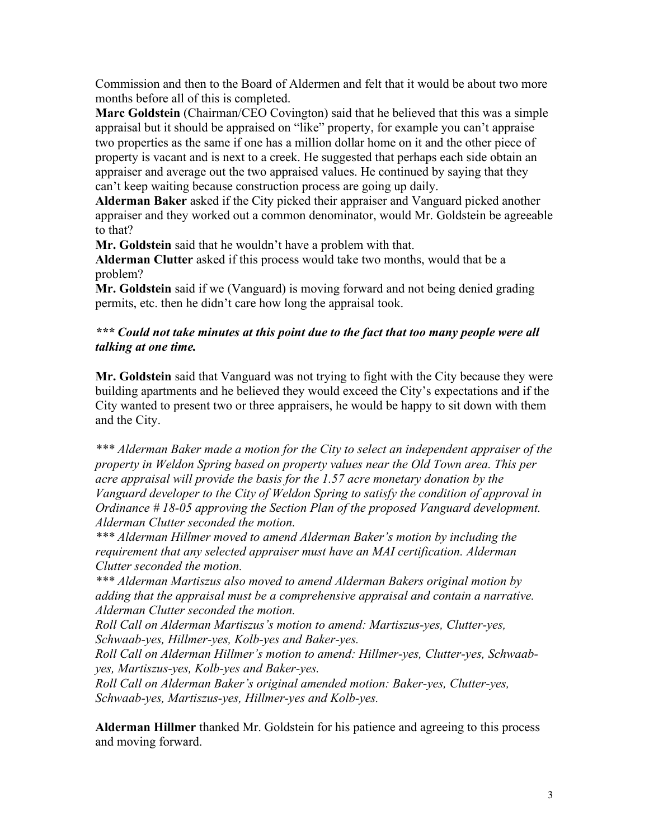Commission and then to the Board of Aldermen and felt that it would be about two more months before all of this is completed.

**Marc Goldstein** (Chairman/CEO Covington) said that he believed that this was a simple appraisal but it should be appraised on "like" property, for example you can't appraise two properties as the same if one has a million dollar home on it and the other piece of property is vacant and is next to a creek. He suggested that perhaps each side obtain an appraiser and average out the two appraised values. He continued by saying that they can't keep waiting because construction process are going up daily.

**Alderman Baker** asked if the City picked their appraiser and Vanguard picked another appraiser and they worked out a common denominator, would Mr. Goldstein be agreeable to that?

**Mr. Goldstein** said that he wouldn't have a problem with that.

**Alderman Clutter** asked if this process would take two months, would that be a problem?

**Mr. Goldstein** said if we (Vanguard) is moving forward and not being denied grading permits, etc. then he didn't care how long the appraisal took.

# *\*\*\* Could not take minutes at this point due to the fact that too many people were all talking at one time.*

**Mr. Goldstein** said that Vanguard was not trying to fight with the City because they were building apartments and he believed they would exceed the City's expectations and if the City wanted to present two or three appraisers, he would be happy to sit down with them and the City.

*\*\*\* Alderman Baker made a motion for the City to select an independent appraiser of the property in Weldon Spring based on property values near the Old Town area. This per acre appraisal will provide the basis for the 1.57 acre monetary donation by the Vanguard developer to the City of Weldon Spring to satisfy the condition of approval in Ordinance # 18-05 approving the Section Plan of the proposed Vanguard development. Alderman Clutter seconded the motion.*

*\*\*\* Alderman Hillmer moved to amend Alderman Baker's motion by including the requirement that any selected appraiser must have an MAI certification. Alderman Clutter seconded the motion.*

*\*\*\* Alderman Martiszus also moved to amend Alderman Bakers original motion by adding that the appraisal must be a comprehensive appraisal and contain a narrative. Alderman Clutter seconded the motion.*

*Roll Call on Alderman Martiszus's motion to amend: Martiszus-yes, Clutter-yes, Schwaab-yes, Hillmer-yes, Kolb-yes and Baker-yes.*

*Roll Call on Alderman Hillmer's motion to amend: Hillmer-yes, Clutter-yes, Schwaabyes, Martiszus-yes, Kolb-yes and Baker-yes.*

*Roll Call on Alderman Baker's original amended motion: Baker-yes, Clutter-yes, Schwaab-yes, Martiszus-yes, Hillmer-yes and Kolb-yes.* 

**Alderman Hillmer** thanked Mr. Goldstein for his patience and agreeing to this process and moving forward.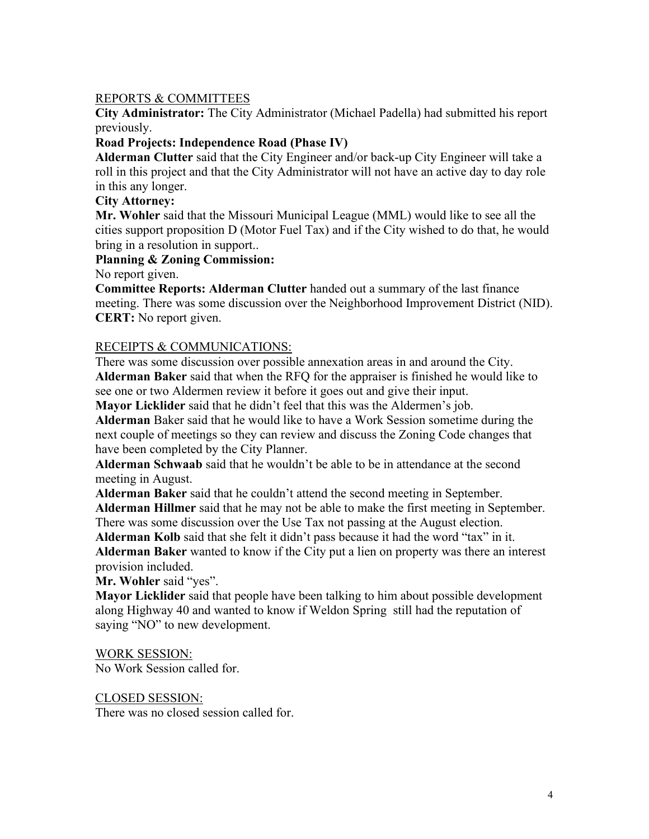# REPORTS & COMMITTEES

**City Administrator:** The City Administrator (Michael Padella) had submitted his report previously.

# **Road Projects: Independence Road (Phase IV)**

**Alderman Clutter** said that the City Engineer and/or back-up City Engineer will take a roll in this project and that the City Administrator will not have an active day to day role in this any longer.

### **City Attorney:**

**Mr. Wohler** said that the Missouri Municipal League (MML) would like to see all the cities support proposition D (Motor Fuel Tax) and if the City wished to do that, he would bring in a resolution in support..

### **Planning & Zoning Commission:**

No report given.

**Committee Reports: Alderman Clutter** handed out a summary of the last finance meeting. There was some discussion over the Neighborhood Improvement District (NID). **CERT:** No report given.

### RECEIPTS & COMMUNICATIONS:

There was some discussion over possible annexation areas in and around the City. **Alderman Baker** said that when the RFQ for the appraiser is finished he would like to see one or two Aldermen review it before it goes out and give their input.

**Mayor Licklider** said that he didn't feel that this was the Aldermen's job.

**Alderman** Baker said that he would like to have a Work Session sometime during the next couple of meetings so they can review and discuss the Zoning Code changes that have been completed by the City Planner.

**Alderman Schwaab** said that he wouldn't be able to be in attendance at the second meeting in August.

**Alderman Baker** said that he couldn't attend the second meeting in September.

**Alderman Hillmer** said that he may not be able to make the first meeting in September. There was some discussion over the Use Tax not passing at the August election.

**Alderman Kolb** said that she felt it didn't pass because it had the word "tax" in it.

**Alderman Baker** wanted to know if the City put a lien on property was there an interest provision included.

**Mr. Wohler** said "yes".

**Mayor Licklider** said that people have been talking to him about possible development along Highway 40 and wanted to know if Weldon Spring still had the reputation of saying "NO" to new development.

#### WORK SESSION:

No Work Session called for.

#### CLOSED SESSION:

There was no closed session called for.